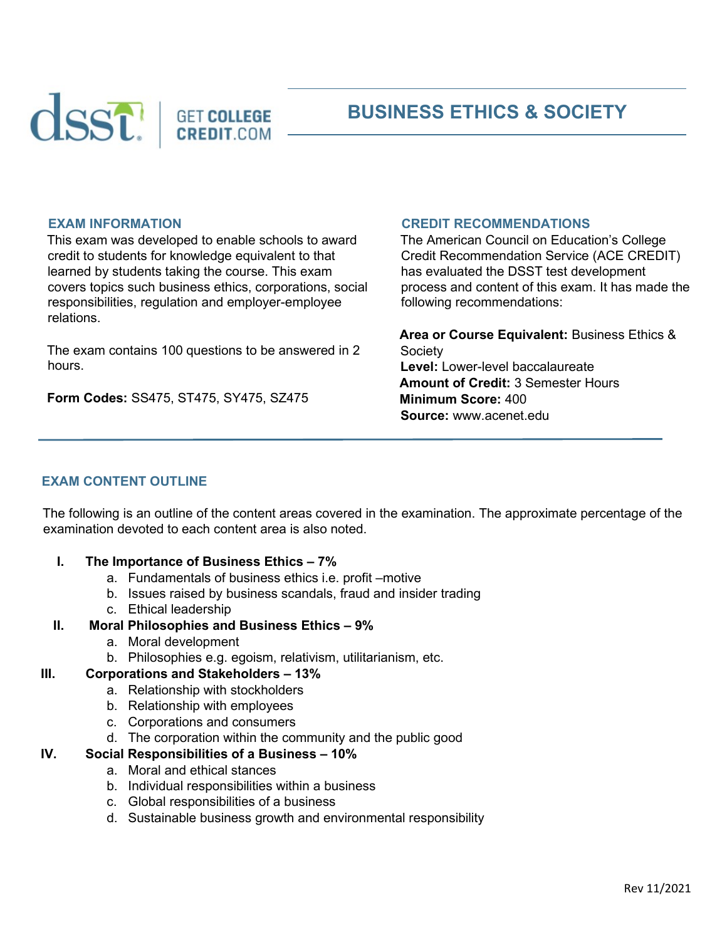

# **BUSINESS ETHICS & SOCIETY**

#### **EXAM INFORMATION**

This exam was developed to enable schools to award credit to students for knowledge equivalent to that learned by students taking the course. This exam covers topics such business ethics, corporations, social responsibilities, regulation and employer-employee relations.

The exam contains 100 questions to be answered in 2 hours.

**Form Codes:** SS475, ST475, SY475, SZ475

#### **CREDIT RECOMMENDATIONS**

The American Council on Education's College Credit Recommendation Service (ACE CREDIT) has evaluated the DSST test development process and content of this exam. It has made the following recommendations:

**Area or Course Equivalent:** Business Ethics & Society **Level:** Lower-level baccalaureate **Amount of Credit:** 3 Semester Hours **Minimum Score:** 400 **Source:** www.acenet.edu

#### **EXAM CONTENT OUTLINE**

The following is an outline of the content areas covered in the examination. The approximate percentage of the examination devoted to each content area is also noted.

- **I. The Importance of Business Ethics 7%** 
	- a. Fundamentals of business ethics i.e. profit –motive
	- b. Issues raised by business scandals, fraud and insider trading
	- c. Ethical leadership
- **II. Moral Philosophies and Business Ethics 9%** 
	- a. Moral development
	- b. Philosophies e.g. egoism, relativism, utilitarianism, etc.

#### **III. Corporations and Stakeholders – 13%**

- a. Relationship with stockholders
- b. Relationship with employees
- c. Corporations and consumers
- d. The corporation within the community and the public good

#### **IV. Social Responsibilities of a Business – 10%**

- a. Moral and ethical stances
- b. Individual responsibilities within a business
- c. Global responsibilities of a business
- d. Sustainable business growth and environmental responsibility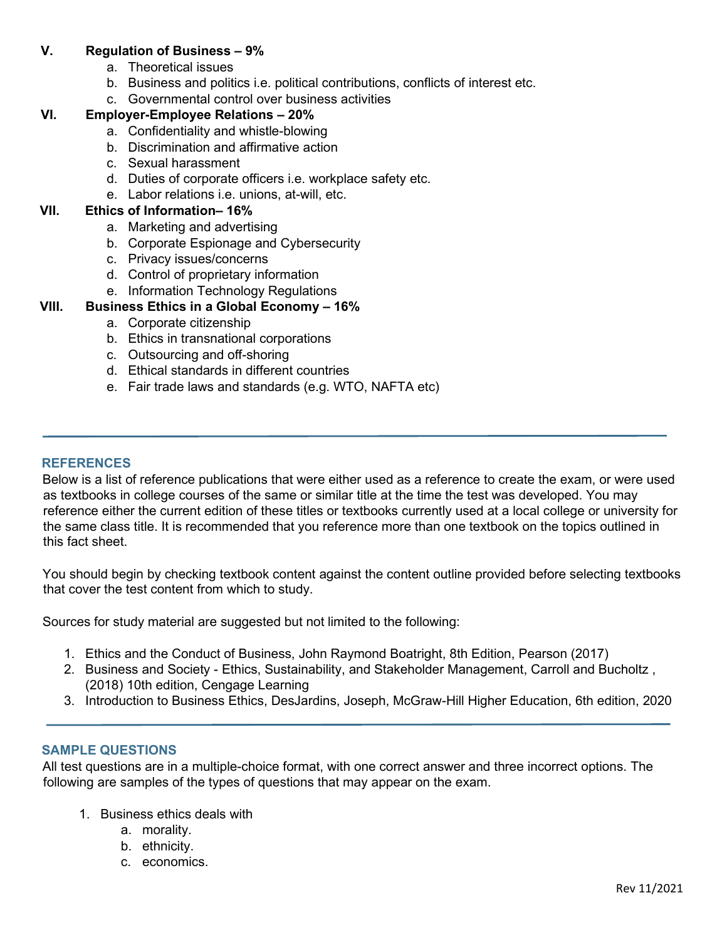### **V. Regulation of Business – 9%**

- a. Theoretical issues
- b. Business and politics i.e. political contributions, conflicts of interest etc.
- c. Governmental control over business activities

# **VI. Employer-Employee Relations – 20%**

- a. Confidentiality and whistle-blowing
- b. Discrimination and affirmative action
- c. Sexual harassment
- d. Duties of corporate officers i.e. workplace safety etc.
- e. Labor relations i.e. unions, at-will, etc.

## **VII. Ethics of Information– 16%**

- a. Marketing and advertising
- b. Corporate Espionage and Cybersecurity
- c. Privacy issues/concerns
- d. Control of proprietary information
- e. Information Technology Regulations

## **VIII. Business Ethics in a Global Economy – 16%**

- a. Corporate citizenship
- b. Ethics in transnational corporations
- c. Outsourcing and off-shoring
- d. Ethical standards in different countries
- e. Fair trade laws and standards (e.g. WTO, NAFTA etc)

#### **REFERENCES**

Below is a list of reference publications that were either used as a reference to create the exam, or were used as textbooks in college courses of the same or similar title at the time the test was developed. You may reference either the current edition of these titles or textbooks currently used at a local college or university for the same class title. It is recommended that you reference more than one textbook on the topics outlined in this fact sheet.

You should begin by checking textbook content against the content outline provided before selecting textbooks that cover the test content from which to study.

Sources for study material are suggested but not limited to the following:

- 1. Ethics and the Conduct of Business, John Raymond Boatright, 8th Edition, Pearson (2017)
- 2. Business and Society Ethics, Sustainability, and Stakeholder Management, Carroll and Bucholtz , (2018) 10th edition, Cengage Learning
- 3. Introduction to Business Ethics, DesJardins, Joseph, McGraw-Hill Higher Education, 6th edition, 2020

#### **SAMPLE QUESTIONS**

All test questions are in a multiple-choice format, with one correct answer and three incorrect options. The following are samples of the types of questions that may appear on the exam.

- 1. Business ethics deals with
	- a. morality.
	- b. ethnicity.
	- c. economics.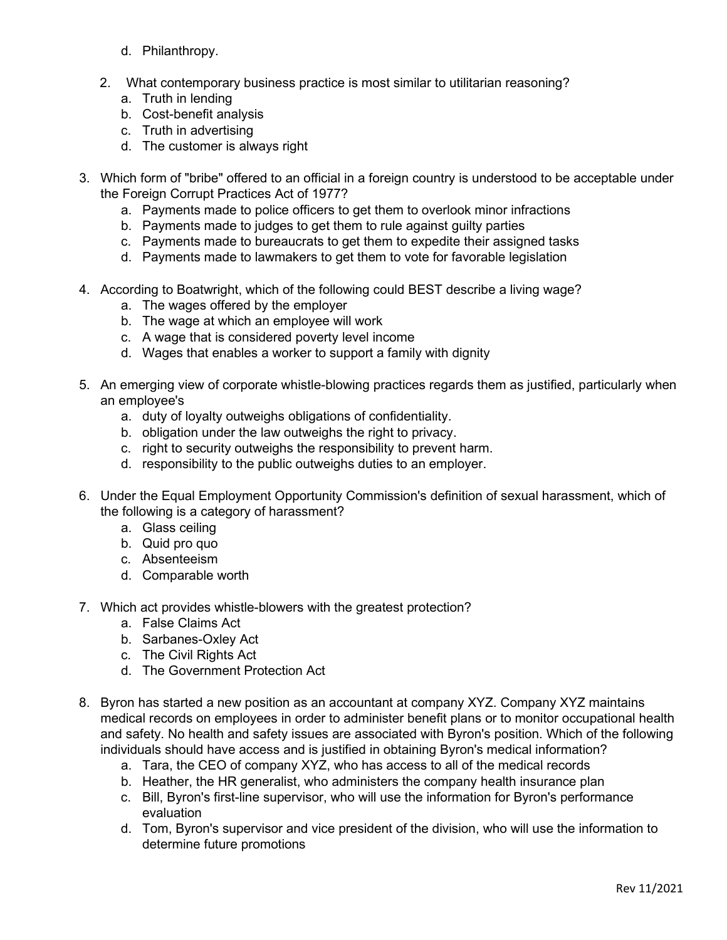- d. Philanthropy.
- 2. What contemporary business practice is most similar to utilitarian reasoning?
	- a. Truth in lending
	- b. Cost-benefit analysis
	- c. Truth in advertising
	- d. The customer is always right
- 3. Which form of "bribe" offered to an official in a foreign country is understood to be acceptable under the Foreign Corrupt Practices Act of 1977?
	- a. Payments made to police officers to get them to overlook minor infractions
	- b. Payments made to judges to get them to rule against guilty parties
	- c. Payments made to bureaucrats to get them to expedite their assigned tasks
	- d. Payments made to lawmakers to get them to vote for favorable legislation
- 4. According to Boatwright, which of the following could BEST describe a living wage?
	- a. The wages offered by the employer
	- b. The wage at which an employee will work
	- c. A wage that is considered poverty level income
	- d. Wages that enables a worker to support a family with dignity
- 5. An emerging view of corporate whistle-blowing practices regards them as justified, particularly when an employee's
	- a. duty of loyalty outweighs obligations of confidentiality.
	- b. obligation under the law outweighs the right to privacy.
	- c. right to security outweighs the responsibility to prevent harm.
	- d. responsibility to the public outweighs duties to an employer.
- 6. Under the Equal Employment Opportunity Commission's definition of sexual harassment, which of the following is a category of harassment?
	- a. Glass ceiling
	- b. Quid pro quo
	- c. Absenteeism
	- d. Comparable worth
- 7. Which act provides whistle-blowers with the greatest protection?
	- a. False Claims Act
	- b. Sarbanes-Oxley Act
	- c. The Civil Rights Act
	- d. The Government Protection Act
- 8. Byron has started a new position as an accountant at company XYZ. Company XYZ maintains medical records on employees in order to administer benefit plans or to monitor occupational health and safety. No health and safety issues are associated with Byron's position. Which of the following individuals should have access and is justified in obtaining Byron's medical information?
	- a. Tara, the CEO of company XYZ, who has access to all of the medical records
	- b. Heather, the HR generalist, who administers the company health insurance plan
	- c. Bill, Byron's first-line supervisor, who will use the information for Byron's performance evaluation
	- d. Tom, Byron's supervisor and vice president of the division, who will use the information to determine future promotions